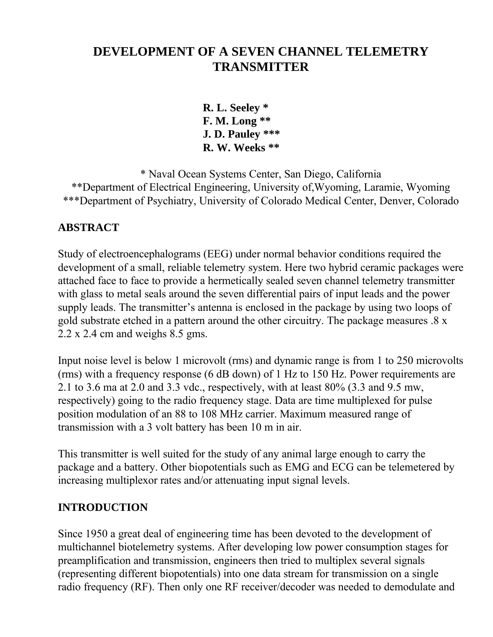# **DEVELOPMENT OF A SEVEN CHANNEL TELEMETRY TRANSMITTER**

**R. L. Seeley \* F. M. Long \*\* J. D. Pauley \*\*\* R. W. Weeks \*\***

\* Naval Ocean Systems Center, San Diego, California \*\*Department of Electrical Engineering, University of,Wyoming, Laramie, Wyoming \*\*\*Department of Psychiatry, University of Colorado Medical Center, Denver, Colorado

# **ABSTRACT**

Study of electroencephalograms (EEG) under normal behavior conditions required the development of a small, reliable telemetry system. Here two hybrid ceramic packages were attached face to face to provide a hermetically sealed seven channel telemetry transmitter with glass to metal seals around the seven differential pairs of input leads and the power supply leads. The transmitter's antenna is enclosed in the package by using two loops of gold substrate etched in a pattern around the other circuitry. The package measures .8 x 2.2 x 2.4 cm and weighs 8.5 gms.

Input noise level is below 1 microvolt (rms) and dynamic range is from 1 to 250 microvolts (rms) with a frequency response (6 dB down) of 1 Hz to 150 Hz. Power requirements are 2.1 to 3.6 ma at 2.0 and 3.3 vdc., respectively, with at least 80% (3.3 and 9.5 mw, respectively) going to the radio frequency stage. Data are time multiplexed for pulse position modulation of an 88 to 108 MHz carrier. Maximum measured range of transmission with a 3 volt battery has been 10 m in air.

This transmitter is well suited for the study of any animal large enough to carry the package and a battery. Other biopotentials such as EMG and ECG can be telemetered by increasing multiplexor rates and/or attenuating input signal levels.

#### **INTRODUCTION**

Since 1950 a great deal of engineering time has been devoted to the development of multichannel biotelemetry systems. After developing low power consumption stages for preamplification and transmission, engineers then tried to multiplex several signals (representing different biopotentials) into one data stream for transmission on a single radio frequency (RF). Then only one RF receiver/decoder was needed to demodulate and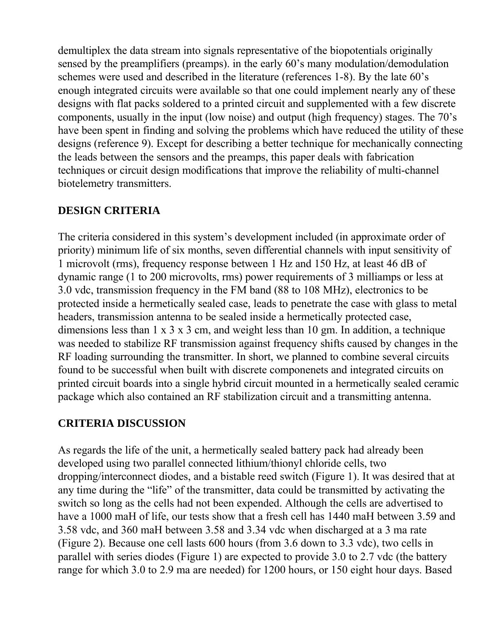demultiplex the data stream into signals representative of the biopotentials originally sensed by the preamplifiers (preamps). in the early 60's many modulation/demodulation schemes were used and described in the literature (references 1-8). By the late 60's enough integrated circuits were available so that one could implement nearly any of these designs with flat packs soldered to a printed circuit and supplemented with a few discrete components, usually in the input (low noise) and output (high frequency) stages. The 70's have been spent in finding and solving the problems which have reduced the utility of these designs (reference 9). Except for describing a better technique for mechanically connecting the leads between the sensors and the preamps, this paper deals with fabrication techniques or circuit design modifications that improve the reliability of multi-channel biotelemetry transmitters.

#### **DESIGN CRITERIA**

The criteria considered in this system's development included (in approximate order of priority) minimum life of six months, seven differential channels with input sensitivity of 1 microvolt (rms), frequency response between 1 Hz and 150 Hz, at least 46 dB of dynamic range (1 to 200 microvolts, rms) power requirements of 3 milliamps or less at 3.0 vdc, transmission frequency in the FM band (88 to 108 MHz), electronics to be protected inside a hermetically sealed case, leads to penetrate the case with glass to metal headers, transmission antenna to be sealed inside a hermetically protected case, dimensions less than 1 x 3 x 3 cm, and weight less than 10 gm. In addition, a technique was needed to stabilize RF transmission against frequency shifts caused by changes in the RF loading surrounding the transmitter. In short, we planned to combine several circuits found to be successful when built with discrete componenets and integrated circuits on printed circuit boards into a single hybrid circuit mounted in a hermetically sealed ceramic package which also contained an RF stabilization circuit and a transmitting antenna.

#### **CRITERIA DISCUSSION**

As regards the life of the unit, a hermetically sealed battery pack had already been developed using two parallel connected lithium/thionyl chloride cells, two dropping/interconnect diodes, and a bistable reed switch (Figure 1). It was desired that at any time during the "life" of the transmitter, data could be transmitted by activating the switch so long as the cells had not been expended. Although the cells are advertised to have a 1000 maH of life, our tests show that a fresh cell has 1440 maH between 3.59 and 3.58 vdc, and 360 maH between 3.58 and 3.34 vdc when discharged at a 3 ma rate (Figure 2). Because one cell lasts 600 hours (from 3.6 down to 3.3 vdc), two cells in parallel with series diodes (Figure 1) are expected to provide 3.0 to 2.7 vdc (the battery range for which 3.0 to 2.9 ma are needed) for 1200 hours, or 150 eight hour days. Based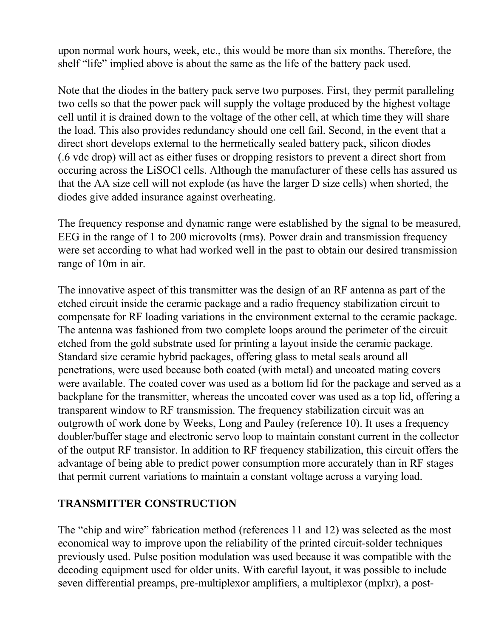upon normal work hours, week, etc., this would be more than six months. Therefore, the shelf "life" implied above is about the same as the life of the battery pack used.

Note that the diodes in the battery pack serve two purposes. First, they permit paralleling two cells so that the power pack will supply the voltage produced by the highest voltage cell until it is drained down to the voltage of the other cell, at which time they will share the load. This also provides redundancy should one cell fail. Second, in the event that a direct short develops external to the hermetically sealed battery pack, silicon diodes (.6 vdc drop) will act as either fuses or dropping resistors to prevent a direct short from occuring across the LiSOCl cells. Although the manufacturer of these cells has assured us that the AA size cell will not explode (as have the larger D size cells) when shorted, the diodes give added insurance against overheating.

The frequency response and dynamic range were established by the signal to be measured, EEG in the range of 1 to 200 microvolts (rms). Power drain and transmission frequency were set according to what had worked well in the past to obtain our desired transmission range of 10m in air.

The innovative aspect of this transmitter was the design of an RF antenna as part of the etched circuit inside the ceramic package and a radio frequency stabilization circuit to compensate for RF loading variations in the environment external to the ceramic package. The antenna was fashioned from two complete loops around the perimeter of the circuit etched from the gold substrate used for printing a layout inside the ceramic package. Standard size ceramic hybrid packages, offering glass to metal seals around all penetrations, were used because both coated (with metal) and uncoated mating covers were available. The coated cover was used as a bottom lid for the package and served as a backplane for the transmitter, whereas the uncoated cover was used as a top lid, offering a transparent window to RF transmission. The frequency stabilization circuit was an outgrowth of work done by Weeks, Long and Pauley (reference 10). It uses a frequency doubler/buffer stage and electronic servo loop to maintain constant current in the collector of the output RF transistor. In addition to RF frequency stabilization, this circuit offers the advantage of being able to predict power consumption more accurately than in RF stages that permit current variations to maintain a constant voltage across a varying load.

#### **TRANSMITTER CONSTRUCTION**

The "chip and wire" fabrication method (references 11 and 12) was selected as the most economical way to improve upon the reliability of the printed circuit-solder techniques previously used. Pulse position modulation was used because it was compatible with the decoding equipment used for older units. With careful layout, it was possible to include seven differential preamps, pre-multiplexor amplifiers, a multiplexor (mplxr), a post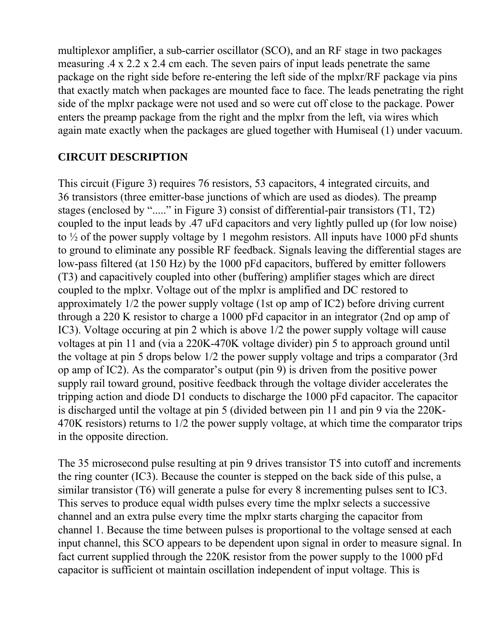multiplexor amplifier, a sub-carrier oscillator (SCO), and an RF stage in two packages measuring .4 x 2.2 x 2.4 cm each. The seven pairs of input leads penetrate the same package on the right side before re-entering the left side of the mplxr/RF package via pins that exactly match when packages are mounted face to face. The leads penetrating the right side of the mplxr package were not used and so were cut off close to the package. Power enters the preamp package from the right and the mplxr from the left, via wires which again mate exactly when the packages are glued together with Humiseal (1) under vacuum.

### **CIRCUIT DESCRIPTION**

This circuit (Figure 3) requires 76 resistors, 53 capacitors, 4 integrated circuits, and 36 transistors (three emitter-base junctions of which are used as diodes). The preamp stages (enclosed by "....." in Figure 3) consist of differential-pair transistors (T1, T2) coupled to the input leads by .47 uFd capacitors and very lightly pulled up (for low noise) to ½ of the power supply voltage by 1 megohm resistors. All inputs have 1000 pFd shunts to ground to eliminate any possible RF feedback. Signals leaving the differential stages are low-pass filtered (at 150 Hz) by the 1000 pFd capacitors, buffered by emitter followers (T3) and capacitively coupled into other (buffering) amplifier stages which are direct coupled to the mplxr. Voltage out of the mplxr is amplified and DC restored to approximately 1/2 the power supply voltage (1st op amp of IC2) before driving current through a 220 K resistor to charge a 1000 pFd capacitor in an integrator (2nd op amp of IC3). Voltage occuring at pin 2 which is above 1/2 the power supply voltage will cause voltages at pin 11 and (via a 220K-470K voltage divider) pin 5 to approach ground until the voltage at pin 5 drops below 1/2 the power supply voltage and trips a comparator (3rd op amp of IC2). As the comparator's output (pin 9) is driven from the positive power supply rail toward ground, positive feedback through the voltage divider accelerates the tripping action and diode D1 conducts to discharge the 1000 pFd capacitor. The capacitor is discharged until the voltage at pin 5 (divided between pin 11 and pin 9 via the 220K-470K resistors) returns to 1/2 the power supply voltage, at which time the comparator trips in the opposite direction.

The 35 microsecond pulse resulting at pin 9 drives transistor T5 into cutoff and increments the ring counter (IC3). Because the counter is stepped on the back side of this pulse, a similar transistor (T6) will generate a pulse for every 8 incrementing pulses sent to IC3. This serves to produce equal width pulses every time the mplxr selects a successive channel and an extra pulse every time the mplxr starts charging the capacitor from channel 1. Because the time between pulses is proportional to the voltage sensed at each input channel, this SCO appears to be dependent upon signal in order to measure signal. In fact current supplied through the 220K resistor from the power supply to the 1000 pFd capacitor is sufficient ot maintain oscillation independent of input voltage. This is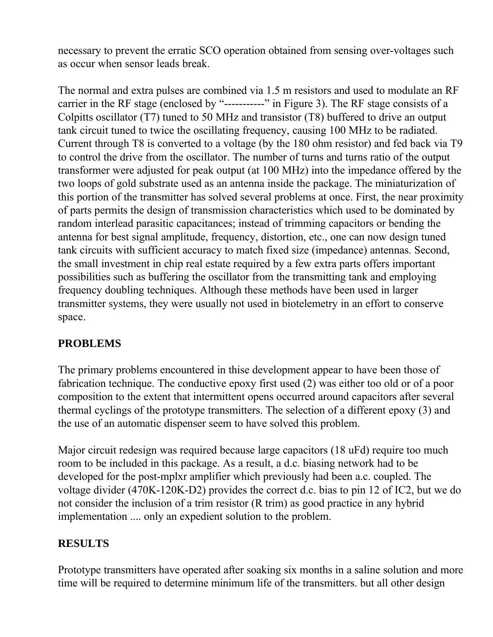necessary to prevent the erratic SCO operation obtained from sensing over-voltages such as occur when sensor leads break.

The normal and extra pulses are combined via 1.5 m resistors and used to modulate an RF carrier in the RF stage (enclosed by "-----------" in Figure 3). The RF stage consists of a Colpitts oscillator (T7) tuned to 50 MHz and transistor (T8) buffered to drive an output tank circuit tuned to twice the oscillating frequency, causing 100 MHz to be radiated. Current through T8 is converted to a voltage (by the 180 ohm resistor) and fed back via T9 to control the drive from the oscillator. The number of turns and turns ratio of the output transformer were adjusted for peak output (at 100 MHz) into the impedance offered by the two loops of gold substrate used as an antenna inside the package. The miniaturization of this portion of the transmitter has solved several problems at once. First, the near proximity of parts permits the design of transmission characteristics which used to be dominated by random interlead parasitic capacitances; instead of trimming capacitors or bending the antenna for best signal amplitude, frequency, distortion, etc., one can now design tuned tank circuits with sufficient accuracy to match fixed size (impedance) antennas. Second, the small investment in chip real estate required by a few extra parts offers important possibilities such as buffering the oscillator from the transmitting tank and employing frequency doubling techniques. Although these methods have been used in larger transmitter systems, they were usually not used in biotelemetry in an effort to conserve space.

# **PROBLEMS**

The primary problems encountered in thise development appear to have been those of fabrication technique. The conductive epoxy first used (2) was either too old or of a poor composition to the extent that intermittent opens occurred around capacitors after several thermal cyclings of the prototype transmitters. The selection of a different epoxy (3) and the use of an automatic dispenser seem to have solved this problem.

Major circuit redesign was required because large capacitors (18 uFd) require too much room to be included in this package. As a result, a d.c. biasing network had to be developed for the post-mplxr amplifier which previously had been a.c. coupled. The voltage divider (470K-120K-D2) provides the correct d.c. bias to pin 12 of IC2, but we do not consider the inclusion of a trim resistor (R trim) as good practice in any hybrid implementation .... only an expedient solution to the problem.

# **RESULTS**

Prototype transmitters have operated after soaking six months in a saline solution and more time will be required to determine minimum life of the transmitters. but all other design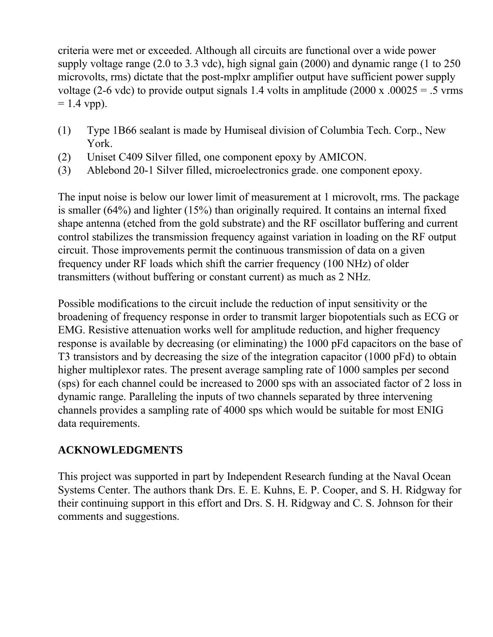criteria were met or exceeded. Although all circuits are functional over a wide power supply voltage range (2.0 to 3.3 vdc), high signal gain (2000) and dynamic range (1 to 250 microvolts, rms) dictate that the post-mplxr amplifier output have sufficient power supply voltage (2-6 vdc) to provide output signals 1.4 volts in amplitude (2000 x  $.00025 = .5$  vrms  $= 1.4$  vpp).

- (1) Type 1B66 sealant is made by Humiseal division of Columbia Tech. Corp., New York.
- (2) Uniset C409 Silver filled, one component epoxy by AMICON.
- (3) Ablebond 20-1 Silver filled, microelectronics grade. one component epoxy.

The input noise is below our lower limit of measurement at 1 microvolt, rms. The package is smaller (64%) and lighter (15%) than originally required. It contains an internal fixed shape antenna (etched from the gold substrate) and the RF oscillator buffering and current control stabilizes the transmission frequency against variation in loading on the RF output circuit. Those improvements permit the continuous transmission of data on a given frequency under RF loads which shift the carrier frequency (100 NHz) of older transmitters (without buffering or constant current) as much as 2 NHz.

Possible modifications to the circuit include the reduction of input sensitivity or the broadening of frequency response in order to transmit larger biopotentials such as ECG or EMG. Resistive attenuation works well for amplitude reduction, and higher frequency response is available by decreasing (or eliminating) the 1000 pFd capacitors on the base of T3 transistors and by decreasing the size of the integration capacitor (1000 pFd) to obtain higher multiplexor rates. The present average sampling rate of 1000 samples per second (sps) for each channel could be increased to 2000 sps with an associated factor of 2 loss in dynamic range. Paralleling the inputs of two channels separated by three intervening channels provides a sampling rate of 4000 sps which would be suitable for most ENIG data requirements.

#### **ACKNOWLEDGMENTS**

This project was supported in part by Independent Research funding at the Naval Ocean Systems Center. The authors thank Drs. E. E. Kuhns, E. P. Cooper, and S. H. Ridgway for their continuing support in this effort and Drs. S. H. Ridgway and C. S. Johnson for their comments and suggestions.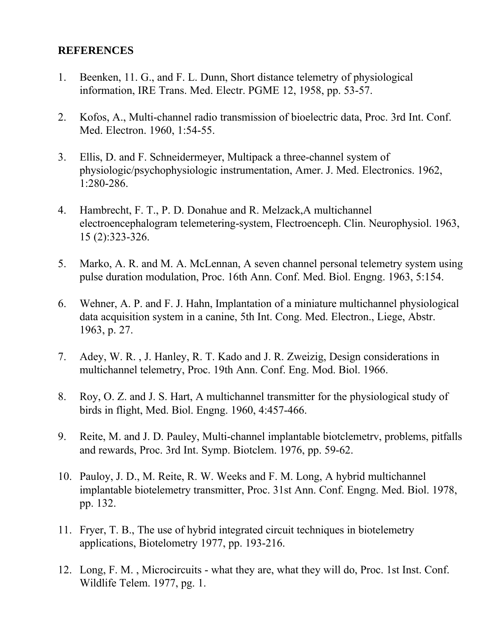#### **REFERENCES**

- 1. Beenken, 11. G., and F. L. Dunn, Short distance telemetry of physiological information, IRE Trans. Med. Electr. PGME 12, 1958, pp. 53-57.
- 2. Kofos, A., Multi-channel radio transmission of bioelectric data, Proc. 3rd Int. Conf. Med. Electron. 1960, 1:54-55.
- 3. Ellis, D. and F. Schneidermeyer, Multipack a three-channel system of physiologic/psychophysiologic instrumentation, Amer. J. Med. Electronics. 1962, 1:280-286.
- 4. Hambrecht, F. T., P. D. Donahue and R. Melzack,A multichannel electroencephalogram telemetering-system, Flectroenceph. Clin. Neurophysiol. 1963, 15 (2):323-326.
- 5. Marko, A. R. and M. A. McLennan, A seven channel personal telemetry system using pulse duration modulation, Proc. 16th Ann. Conf. Med. Biol. Engng. 1963, 5:154.
- 6. Wehner, A. P. and F. J. Hahn, Implantation of a miniature multichannel physiological data acquisition system in a canine, 5th Int. Cong. Med. Electron., Liege, Abstr. 1963, p. 27.
- 7. Adey, W. R. , J. Hanley, R. T. Kado and J. R. Zweizig, Design considerations in multichannel telemetry, Proc. 19th Ann. Conf. Eng. Mod. Biol. 1966.
- 8. Roy, O. Z. and J. S. Hart, A multichannel transmitter for the physiological study of birds in flight, Med. Biol. Engng. 1960, 4:457-466.
- 9. Reite, M. and J. D. Pauley, Multi-channel implantable biotclemetrv, problems, pitfalls and rewards, Proc. 3rd Int. Symp. Biotclem. 1976, pp. 59-62.
- 10. Pauloy, J. D., M. Reite, R. W. Weeks and F. M. Long, A hybrid multichannel implantable biotelemetry transmitter, Proc. 31st Ann. Conf. Engng. Med. Biol. 1978, pp. 132.
- 11. Fryer, T. B., The use of hybrid integrated circuit techniques in biotelemetry applications, Biotelometry 1977, pp. 193-216.
- 12. Long, F. M. , Microcircuits what they are, what they will do, Proc. 1st Inst. Conf. Wildlife Telem. 1977, pg. 1.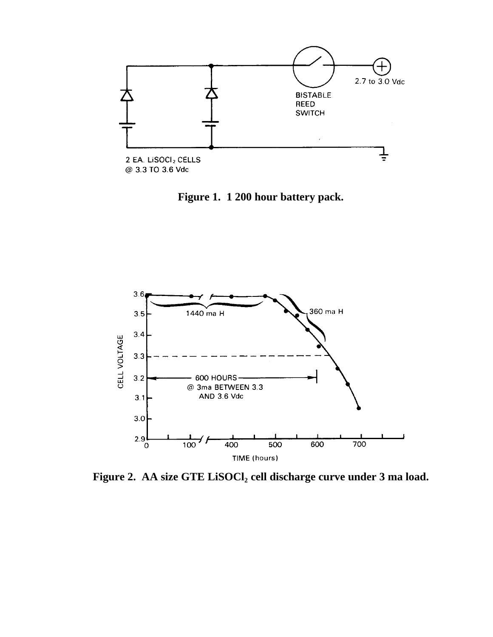

**Figure 1. 1 200 hour battery pack.**



**Figure 2. AA size GTE LiSOCl<sup>2</sup> cell discharge curve under 3 ma load.**